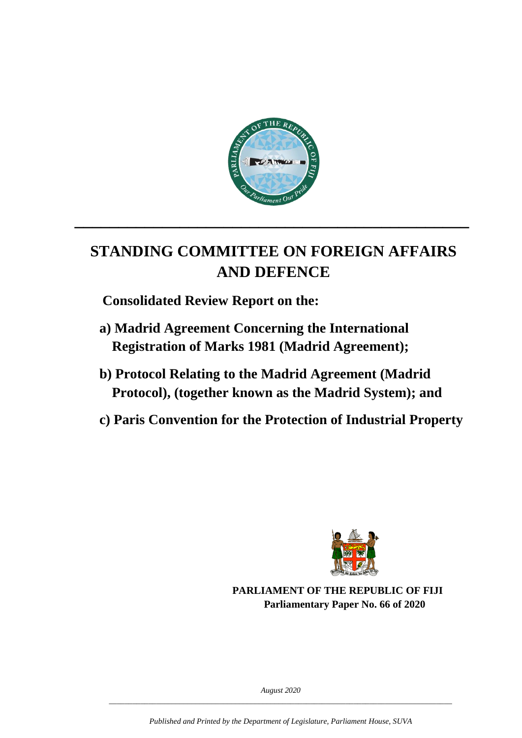

# **STANDING COMMITTEE ON FOREIGN AFFAIRS AND DEFENCE**

**\_\_\_\_\_\_\_\_\_\_\_\_\_\_\_\_\_\_\_\_\_\_\_\_\_\_\_\_\_\_\_\_\_\_\_\_\_\_\_\_\_\_\_\_\_**

 **Consolidated Review Report on the:**

- **a) Madrid Agreement Concerning the International Registration of Marks 1981 (Madrid Agreement);**
- **b) Protocol Relating to the Madrid Agreement (Madrid Protocol), (together known as the Madrid System); and**
- **c) Paris Convention for the Protection of Industrial Property**



**PARLIAMENT OF THE REPUBLIC OF FIJI Parliamentary Paper No. 66 of 2020**

*August 2020 \_\_\_\_\_\_\_\_\_\_\_\_\_\_\_\_\_\_\_\_\_\_\_\_\_\_\_\_\_\_\_\_\_\_\_\_\_\_\_\_\_\_\_\_\_\_\_\_\_\_\_\_\_\_\_\_\_\_\_\_\_\_\_\_\_\_\_\_\_\_\_\_\_\_\_\_\_\_\_\_\_\_\_\_\_\_\_*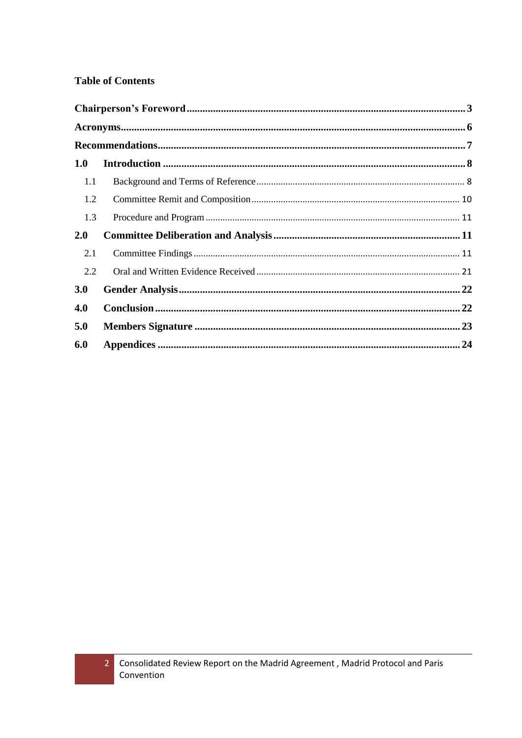#### **Table of Contents**

| 1.0        |  |  |  |  |  |  |
|------------|--|--|--|--|--|--|
| 1.1        |  |  |  |  |  |  |
| 1.2        |  |  |  |  |  |  |
| 1.3        |  |  |  |  |  |  |
| 2.0        |  |  |  |  |  |  |
| 2.1        |  |  |  |  |  |  |
| 2.2        |  |  |  |  |  |  |
| <b>3.0</b> |  |  |  |  |  |  |
| 4.0        |  |  |  |  |  |  |
| 5.0        |  |  |  |  |  |  |
| 6.0        |  |  |  |  |  |  |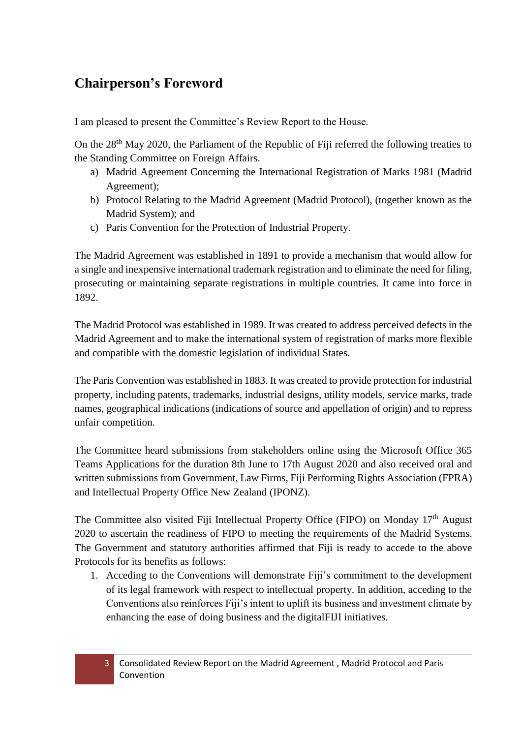# <span id="page-2-0"></span>**Chairperson's Foreword**

I am pleased to present the Committee's Review Report to the House.

On the 28<sup>th</sup> May 2020, the Parliament of the Republic of Fiji referred the following treaties to the Standing Committee on Foreign Affairs.

- a) Madrid Agreement Concerning the International Registration of Marks 1981 (Madrid Agreement);
- b) Protocol Relating to the Madrid Agreement (Madrid Protocol), (together known as the Madrid System); and
- c) Paris Convention for the Protection of Industrial Property.

The Madrid Agreement was established in 1891 to provide a mechanism that would allow for a single and inexpensive international trademark registration and to eliminate the need for filing, prosecuting or maintaining separate registrations in multiple countries. It came into force in 1892.

The Madrid Protocol was established in 1989. It was created to address perceived defects in the Madrid Agreement and to make the international system of registration of marks more flexible and compatible with the domestic legislation of individual States.

The Paris Convention was established in 1883. It was created to provide protection for industrial property, including patents, trademarks, industrial designs, utility models, service marks, trade names, geographical indications (indications of source and appellation of origin) and to repress unfair competition.

The Committee heard submissions from stakeholders online using the Microsoft Office 365 Teams Applications for the duration 8th June to 17th August 2020 and also received oral and written submissions from Government, Law Firms, Fiji Performing Rights Association (FPRA) and Intellectual Property Office New Zealand (IPONZ).

The Committee also visited Fiji Intellectual Property Office (FIPO) on Monday 17<sup>th</sup> August 2020 to ascertain the readiness of FIPO to meeting the requirements of the Madrid Systems. The Government and statutory authorities affirmed that Fiji is ready to accede to the above Protocols for its benefits as follows:

1. Acceding to the Conventions will demonstrate Fiji's commitment to the development of its legal framework with respect to intellectual property. In addition, acceding to the Conventions also reinforces Fiji's intent to uplift its business and investment climate by enhancing the ease of doing business and the digitalFIJI initiatives.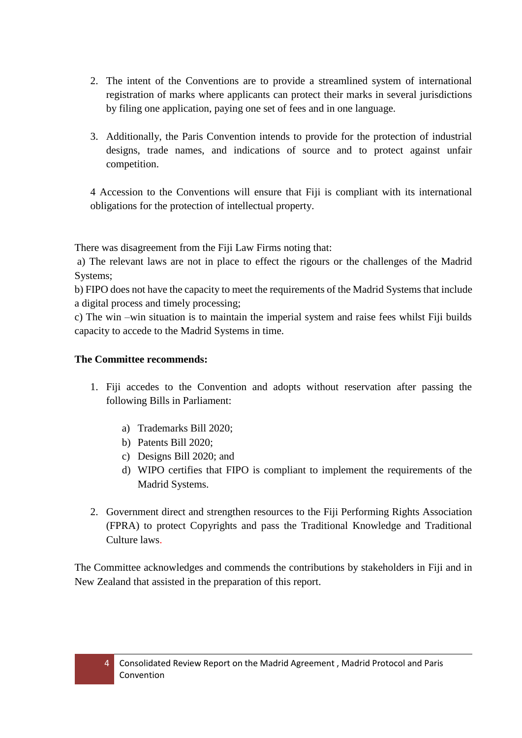- 2. The intent of the Conventions are to provide a streamlined system of international registration of marks where applicants can protect their marks in several jurisdictions by filing one application, paying one set of fees and in one language.
- 3. Additionally, the Paris Convention intends to provide for the protection of industrial designs, trade names, and indications of source and to protect against unfair competition.

4 Accession to the Conventions will ensure that Fiji is compliant with its international obligations for the protection of intellectual property.

There was disagreement from the Fiji Law Firms noting that:

a) The relevant laws are not in place to effect the rigours or the challenges of the Madrid Systems;

b) FIPO does not have the capacity to meet the requirements of the Madrid Systems that include a digital process and timely processing;

c) The win –win situation is to maintain the imperial system and raise fees whilst Fiji builds capacity to accede to the Madrid Systems in time.

#### **The Committee recommends:**

- 1. Fiji accedes to the Convention and adopts without reservation after passing the following Bills in Parliament:
	- a) Trademarks Bill 2020;
	- b) Patents Bill 2020;
	- c) Designs Bill 2020; and
	- d) WIPO certifies that FIPO is compliant to implement the requirements of the Madrid Systems.
- 2. Government direct and strengthen resources to the Fiji Performing Rights Association (FPRA) to protect Copyrights and pass the Traditional Knowledge and Traditional Culture laws.

The Committee acknowledges and commends the contributions by stakeholders in Fiji and in New Zealand that assisted in the preparation of this report.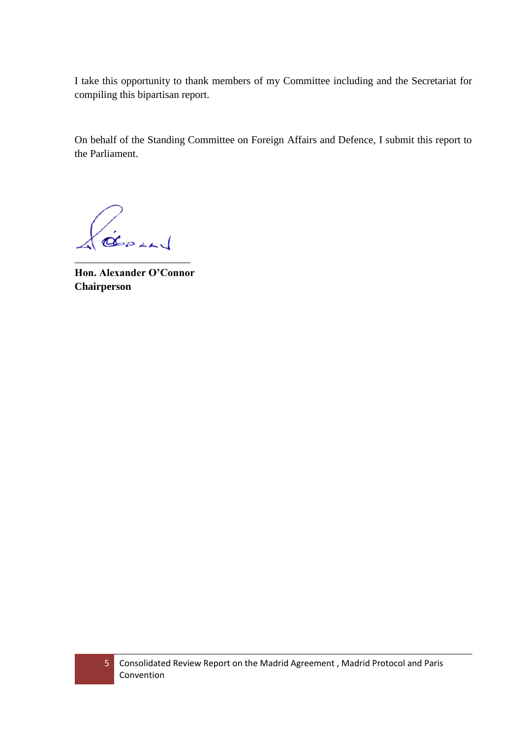I take this opportunity to thank members of my Committee including and the Secretariat for compiling this bipartisan report.

On behalf of the Standing Committee on Foreign Affairs and Defence, I submit this report to the Parliament.

GEDLAN

<span id="page-4-0"></span>**Hon. Alexander O'Connor Chairperson**

\_\_\_\_\_\_\_\_\_\_\_\_\_\_\_\_\_\_\_\_\_\_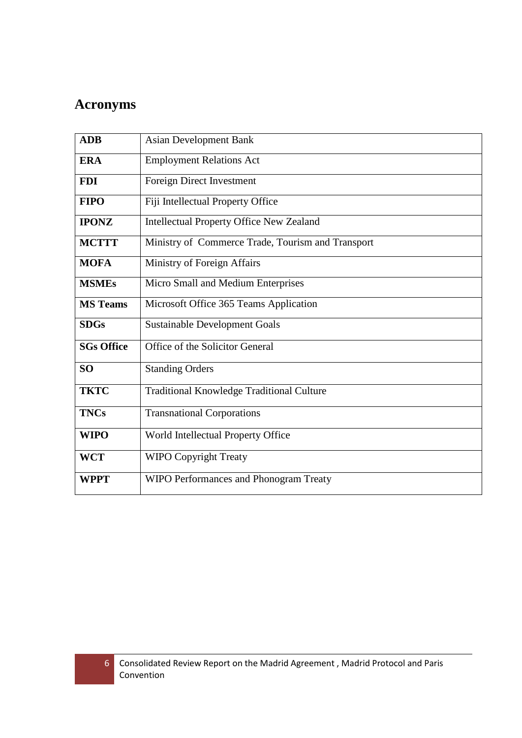# **Acronyms**

| <b>ADB</b>        | <b>Asian Development Bank</b>                     |  |  |
|-------------------|---------------------------------------------------|--|--|
| <b>ERA</b>        | <b>Employment Relations Act</b>                   |  |  |
| <b>FDI</b>        | Foreign Direct Investment                         |  |  |
| <b>FIPO</b>       | Fiji Intellectual Property Office                 |  |  |
| <b>IPONZ</b>      | <b>Intellectual Property Office New Zealand</b>   |  |  |
| <b>MCTTT</b>      | Ministry of Commerce Trade, Tourism and Transport |  |  |
| <b>MOFA</b>       | Ministry of Foreign Affairs                       |  |  |
| <b>MSMEs</b>      | Micro Small and Medium Enterprises                |  |  |
| <b>MS</b> Teams   | Microsoft Office 365 Teams Application            |  |  |
| <b>SDGs</b>       | <b>Sustainable Development Goals</b>              |  |  |
| <b>SGs Office</b> | Office of the Solicitor General                   |  |  |
| <b>SO</b>         | <b>Standing Orders</b>                            |  |  |
| <b>TKTC</b>       | <b>Traditional Knowledge Traditional Culture</b>  |  |  |
| <b>TNCs</b>       | <b>Transnational Corporations</b>                 |  |  |
| <b>WIPO</b>       | World Intellectual Property Office                |  |  |
| <b>WCT</b>        | <b>WIPO Copyright Treaty</b>                      |  |  |
| <b>WPPT</b>       | WIPO Performances and Phonogram Treaty            |  |  |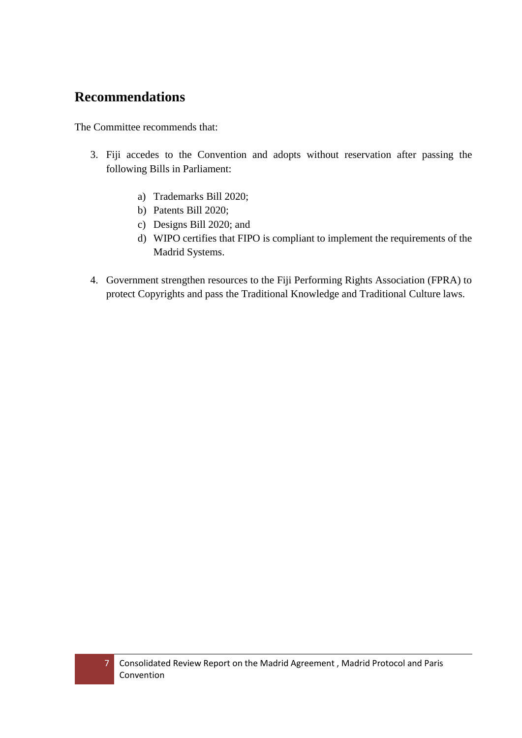# <span id="page-6-0"></span>**Recommendations**

The Committee recommends that:

- 3. Fiji accedes to the Convention and adopts without reservation after passing the following Bills in Parliament:
	- a) Trademarks Bill 2020;
	- b) Patents Bill 2020;
	- c) Designs Bill 2020; and
	- d) WIPO certifies that FIPO is compliant to implement the requirements of the Madrid Systems.
- 4. Government strengthen resources to the Fiji Performing Rights Association (FPRA) to protect Copyrights and pass the Traditional Knowledge and Traditional Culture laws.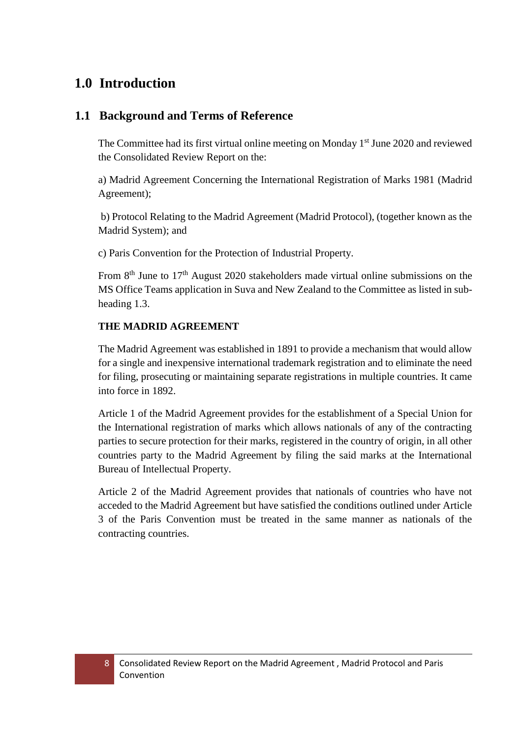# <span id="page-7-0"></span>**1.0 Introduction**

## <span id="page-7-1"></span>**1.1 Background and Terms of Reference**

The Committee had its first virtual online meeting on Monday  $1<sup>st</sup>$  June 2020 and reviewed the Consolidated Review Report on the:

a) Madrid Agreement Concerning the International Registration of Marks 1981 (Madrid Agreement);

b) Protocol Relating to the Madrid Agreement (Madrid Protocol), (together known as the Madrid System); and

c) Paris Convention for the Protection of Industrial Property.

From  $8<sup>th</sup>$  June to  $17<sup>th</sup>$  August 2020 stakeholders made virtual online submissions on the MS Office Teams application in Suva and New Zealand to the Committee as listed in subheading 1.3.

#### **THE MADRID AGREEMENT**

The Madrid Agreement was established in 1891 to provide a mechanism that would allow for a single and inexpensive international trademark registration and to eliminate the need for filing, prosecuting or maintaining separate registrations in multiple countries. It came into force in 1892.

Article 1 of the Madrid Agreement provides for the establishment of a Special Union for the International registration of marks which allows nationals of any of the contracting parties to secure protection for their marks, registered in the country of origin, in all other countries party to the Madrid Agreement by filing the said marks at the International Bureau of Intellectual Property.

Article 2 of the Madrid Agreement provides that nationals of countries who have not acceded to the Madrid Agreement but have satisfied the conditions outlined under Article 3 of the Paris Convention must be treated in the same manner as nationals of the contracting countries.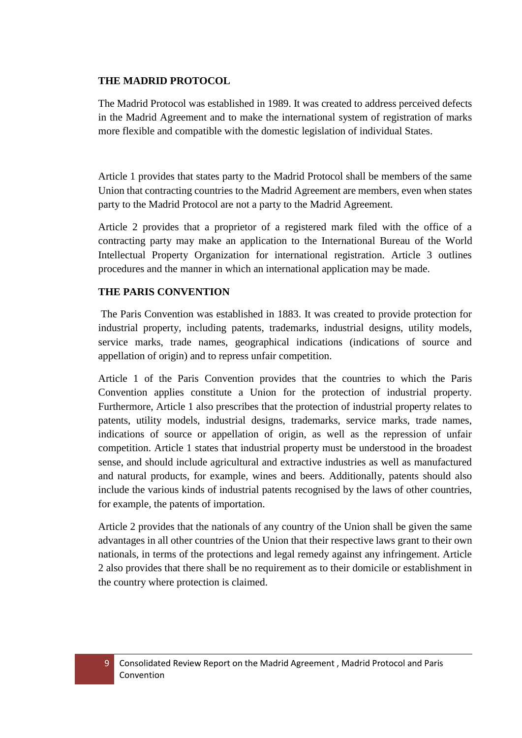#### **THE MADRID PROTOCOL**

The Madrid Protocol was established in 1989. It was created to address perceived defects in the Madrid Agreement and to make the international system of registration of marks more flexible and compatible with the domestic legislation of individual States.

Article 1 provides that states party to the Madrid Protocol shall be members of the same Union that contracting countries to the Madrid Agreement are members, even when states party to the Madrid Protocol are not a party to the Madrid Agreement.

Article 2 provides that a proprietor of a registered mark filed with the office of a contracting party may make an application to the International Bureau of the World Intellectual Property Organization for international registration. Article 3 outlines procedures and the manner in which an international application may be made.

#### **THE PARIS CONVENTION**

The Paris Convention was established in 1883. It was created to provide protection for industrial property, including patents, trademarks, industrial designs, utility models, service marks, trade names, geographical indications (indications of source and appellation of origin) and to repress unfair competition.

Article 1 of the Paris Convention provides that the countries to which the Paris Convention applies constitute a Union for the protection of industrial property. Furthermore, Article 1 also prescribes that the protection of industrial property relates to patents, utility models, industrial designs, trademarks, service marks, trade names, indications of source or appellation of origin, as well as the repression of unfair competition. Article 1 states that industrial property must be understood in the broadest sense, and should include agricultural and extractive industries as well as manufactured and natural products, for example, wines and beers. Additionally, patents should also include the various kinds of industrial patents recognised by the laws of other countries, for example, the patents of importation.

Article 2 provides that the nationals of any country of the Union shall be given the same advantages in all other countries of the Union that their respective laws grant to their own nationals, in terms of the protections and legal remedy against any infringement. Article 2 also provides that there shall be no requirement as to their domicile or establishment in the country where protection is claimed.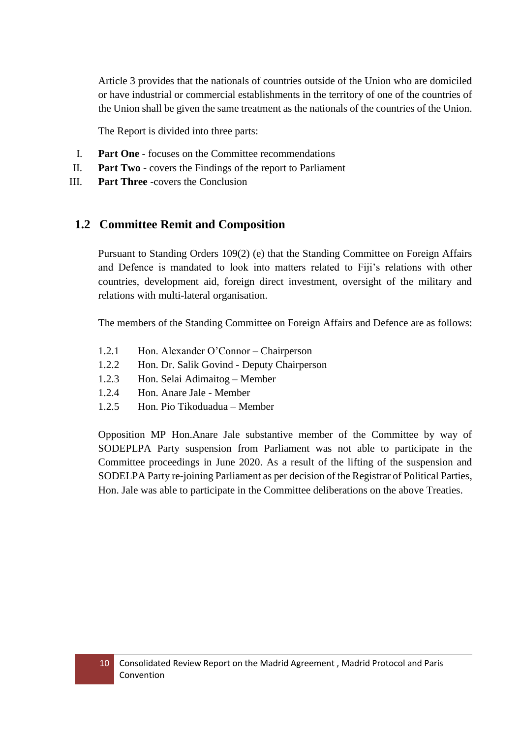Article 3 provides that the nationals of countries outside of the Union who are domiciled or have industrial or commercial establishments in the territory of one of the countries of the Union shall be given the same treatment as the nationals of the countries of the Union.

The Report is divided into three parts:

- I. **Part One** focuses on the Committee recommendations
- II. **Part Two** covers the Findings of the report to Parliament
- III. **Part Three** -covers the Conclusion

## <span id="page-9-0"></span>**1.2 Committee Remit and Composition**

Pursuant to Standing Orders 109(2) (e) that the Standing Committee on Foreign Affairs and Defence is mandated to look into matters related to Fiji's relations with other countries, development aid, foreign direct investment, oversight of the military and relations with multi-lateral organisation.

The members of the Standing Committee on Foreign Affairs and Defence are as follows:

- 1.2.1 Hon. Alexander O'Connor Chairperson
- 1.2.2 Hon. Dr. Salik Govind Deputy Chairperson
- 1.2.3 Hon. Selai Adimaitog Member
- 1.2.4 Hon. Anare Jale Member
- 1.2.5 Hon. Pio Tikoduadua Member

Opposition MP Hon.Anare Jale substantive member of the Committee by way of SODEPLPA Party suspension from Parliament was not able to participate in the Committee proceedings in June 2020. As a result of the lifting of the suspension and SODELPA Party re-joining Parliament as per decision of the Registrar of Political Parties, Hon. Jale was able to participate in the Committee deliberations on the above Treaties.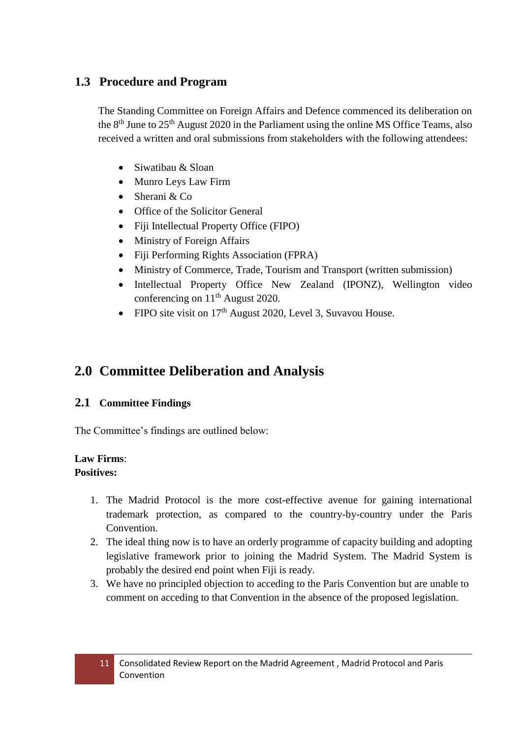## <span id="page-10-0"></span>**1.3 Procedure and Program**

The Standing Committee on Foreign Affairs and Defence commenced its deliberation on the  $8<sup>th</sup>$  June to  $25<sup>th</sup>$  August 2020 in the Parliament using the online MS Office Teams, also received a written and oral submissions from stakeholders with the following attendees:

- Siwatibau & Sloan
- Munro Leys Law Firm
- Sherani & Co
- Office of the Solicitor General
- Fiji Intellectual Property Office (FIPO)
- Ministry of Foreign Affairs
- Fiji Performing Rights Association (FPRA)
- Ministry of Commerce, Trade, Tourism and Transport (written submission)
- Intellectual Property Office New Zealand (IPONZ), Wellington video conferencing on 11<sup>th</sup> August 2020.
- FIPO site visit on  $17<sup>th</sup>$  August 2020, Level 3, Suvavou House.

# <span id="page-10-1"></span>**2.0 Committee Deliberation and Analysis**

## <span id="page-10-2"></span>**2.1 Committee Findings**

The Committee's findings are outlined below:

#### **Law Firms**: **Positives:**

- 1. The Madrid Protocol is the more cost-effective avenue for gaining international trademark protection, as compared to the country-by-country under the Paris Convention.
- 2. The ideal thing now is to have an orderly programme of capacity building and adopting legislative framework prior to joining the Madrid System. The Madrid System is probably the desired end point when Fiji is ready.
- 3. We have no principled objection to acceding to the Paris Convention but are unable to comment on acceding to that Convention in the absence of the proposed legislation.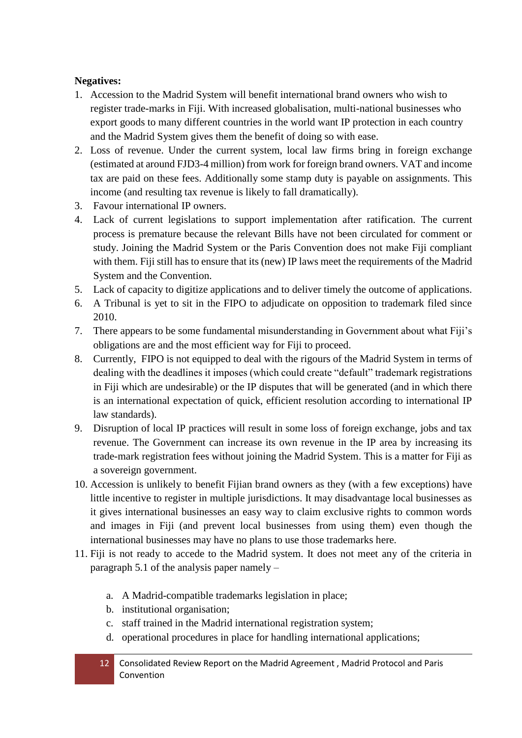#### **Negatives:**

- 1. Accession to the Madrid System will benefit international brand owners who wish to register trade-marks in Fiji. With increased globalisation, multi-national businesses who export goods to many different countries in the world want IP protection in each country and the Madrid System gives them the benefit of doing so with ease.
- 2. Loss of revenue. Under the current system, local law firms bring in foreign exchange (estimated at around FJD3-4 million) from work for foreign brand owners. VAT and income tax are paid on these fees. Additionally some stamp duty is payable on assignments. This income (and resulting tax revenue is likely to fall dramatically).
- 3. Favour international IP owners.
- 4. Lack of current legislations to support implementation after ratification. The current process is premature because the relevant Bills have not been circulated for comment or study. Joining the Madrid System or the Paris Convention does not make Fiji compliant with them. Fiji still has to ensure that its (new) IP laws meet the requirements of the Madrid System and the Convention.
- 5. Lack of capacity to digitize applications and to deliver timely the outcome of applications.
- 6. A Tribunal is yet to sit in the FIPO to adjudicate on opposition to trademark filed since 2010.
- 7. There appears to be some fundamental misunderstanding in Government about what Fiji's obligations are and the most efficient way for Fiji to proceed.
- 8. Currently, FIPO is not equipped to deal with the rigours of the Madrid System in terms of dealing with the deadlines it imposes (which could create "default" trademark registrations in Fiji which are undesirable) or the IP disputes that will be generated (and in which there is an international expectation of quick, efficient resolution according to international IP law standards).
- 9. Disruption of local IP practices will result in some loss of foreign exchange, jobs and tax revenue. The Government can increase its own revenue in the IP area by increasing its trade-mark registration fees without joining the Madrid System. This is a matter for Fiji as a sovereign government.
- 10. Accession is unlikely to benefit Fijian brand owners as they (with a few exceptions) have little incentive to register in multiple jurisdictions. It may disadvantage local businesses as it gives international businesses an easy way to claim exclusive rights to common words and images in Fiji (and prevent local businesses from using them) even though the international businesses may have no plans to use those trademarks here.
- 11. Fiji is not ready to accede to the Madrid system. It does not meet any of the criteria in paragraph 5.1 of the analysis paper namely –
	- a. A Madrid-compatible trademarks legislation in place;
	- b. institutional organisation;
	- c. staff trained in the Madrid international registration system;
	- d. operational procedures in place for handling international applications;
	- 12 Consolidated Review Report on the Madrid Agreement , Madrid Protocol and Paris Convention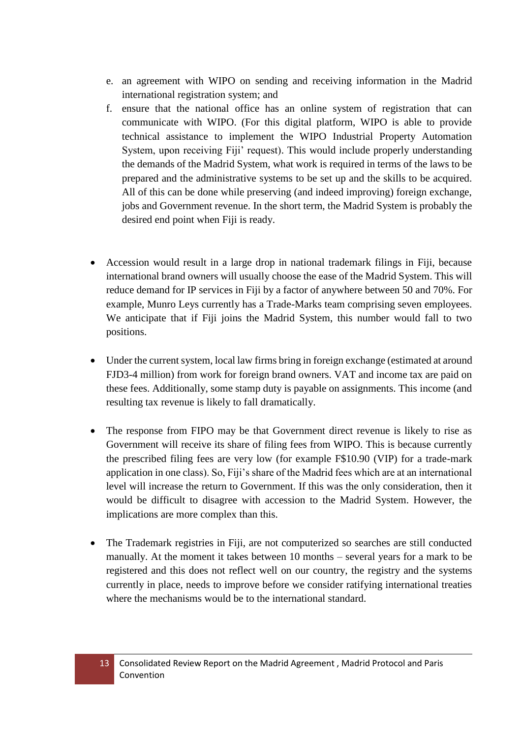- e. an agreement with WIPO on sending and receiving information in the Madrid international registration system; and
- f. ensure that the national office has an online system of registration that can communicate with WIPO. (For this digital platform, WIPO is able to provide technical assistance to implement the WIPO Industrial Property Automation System, upon receiving Fiji' request). This would include properly understanding the demands of the Madrid System, what work is required in terms of the laws to be prepared and the administrative systems to be set up and the skills to be acquired. All of this can be done while preserving (and indeed improving) foreign exchange, jobs and Government revenue. In the short term, the Madrid System is probably the desired end point when Fiji is ready.
- Accession would result in a large drop in national trademark filings in Fiji, because international brand owners will usually choose the ease of the Madrid System. This will reduce demand for IP services in Fiji by a factor of anywhere between 50 and 70%. For example, Munro Leys currently has a Trade-Marks team comprising seven employees. We anticipate that if Fiji joins the Madrid System, this number would fall to two positions.
- Under the current system, local law firms bring in foreign exchange (estimated at around FJD3-4 million) from work for foreign brand owners. VAT and income tax are paid on these fees. Additionally, some stamp duty is payable on assignments. This income (and resulting tax revenue is likely to fall dramatically.
- The response from FIPO may be that Government direct revenue is likely to rise as Government will receive its share of filing fees from WIPO. This is because currently the prescribed filing fees are very low (for example F\$10.90 (VIP) for a trade-mark application in one class). So, Fiji's share of the Madrid fees which are at an international level will increase the return to Government. If this was the only consideration, then it would be difficult to disagree with accession to the Madrid System. However, the implications are more complex than this.
- The Trademark registries in Fiji, are not computerized so searches are still conducted manually. At the moment it takes between 10 months – several years for a mark to be registered and this does not reflect well on our country, the registry and the systems currently in place, needs to improve before we consider ratifying international treaties where the mechanisms would be to the international standard.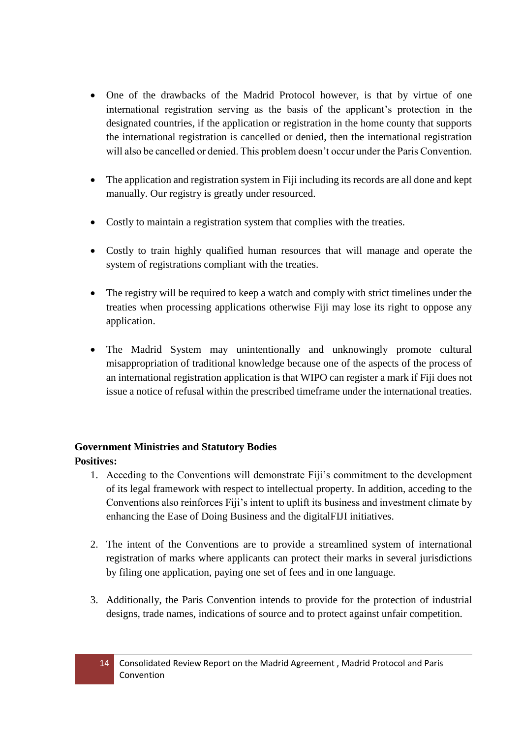- One of the drawbacks of the Madrid Protocol however, is that by virtue of one international registration serving as the basis of the applicant's protection in the designated countries, if the application or registration in the home county that supports the international registration is cancelled or denied, then the international registration will also be cancelled or denied. This problem doesn't occur under the Paris Convention.
- The application and registration system in Fiji including its records are all done and kept manually. Our registry is greatly under resourced.
- Costly to maintain a registration system that complies with the treaties.
- Costly to train highly qualified human resources that will manage and operate the system of registrations compliant with the treaties.
- The registry will be required to keep a watch and comply with strict timelines under the treaties when processing applications otherwise Fiji may lose its right to oppose any application.
- The Madrid System may unintentionally and unknowingly promote cultural misappropriation of traditional knowledge because one of the aspects of the process of an international registration application is that WIPO can register a mark if Fiji does not issue a notice of refusal within the prescribed timeframe under the international treaties.

# **Government Ministries and Statutory Bodies**

#### **Positives:**

- 1. Acceding to the Conventions will demonstrate Fiji's commitment to the development of its legal framework with respect to intellectual property. In addition, acceding to the Conventions also reinforces Fiji's intent to uplift its business and investment climate by enhancing the Ease of Doing Business and the digitalFIJI initiatives.
- 2. The intent of the Conventions are to provide a streamlined system of international registration of marks where applicants can protect their marks in several jurisdictions by filing one application, paying one set of fees and in one language.
- 3. Additionally, the Paris Convention intends to provide for the protection of industrial designs, trade names, indications of source and to protect against unfair competition.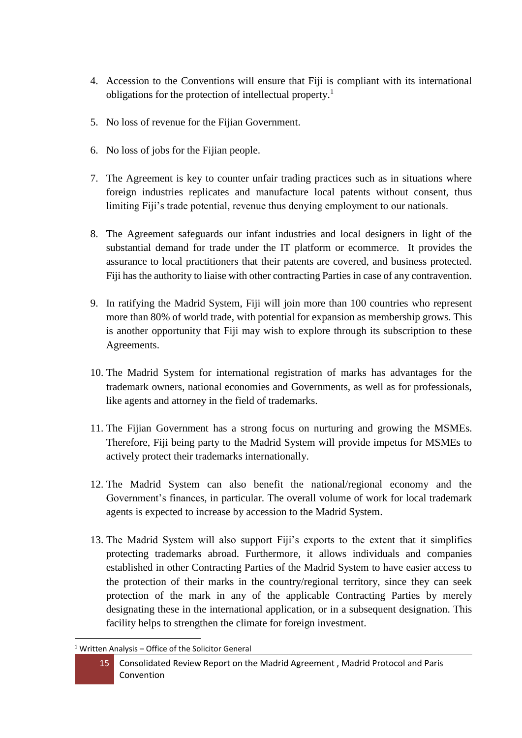- 4. Accession to the Conventions will ensure that Fiji is compliant with its international obligations for the protection of intellectual property.<sup>1</sup>
- 5. No loss of revenue for the Fijian Government.
- 6. No loss of jobs for the Fijian people.
- 7. The Agreement is key to counter unfair trading practices such as in situations where foreign industries replicates and manufacture local patents without consent, thus limiting Fiji's trade potential, revenue thus denying employment to our nationals.
- 8. The Agreement safeguards our infant industries and local designers in light of the substantial demand for trade under the IT platform or ecommerce. It provides the assurance to local practitioners that their patents are covered, and business protected. Fiji has the authority to liaise with other contracting Parties in case of any contravention.
- 9. In ratifying the Madrid System, Fiji will join more than 100 countries who represent more than 80% of world trade, with potential for expansion as membership grows. This is another opportunity that Fiji may wish to explore through its subscription to these Agreements.
- 10. The Madrid System for international registration of marks has advantages for the trademark owners, national economies and Governments, as well as for professionals, like agents and attorney in the field of trademarks.
- 11. The Fijian Government has a strong focus on nurturing and growing the MSMEs. Therefore, Fiji being party to the Madrid System will provide impetus for MSMEs to actively protect their trademarks internationally.
- 12. The Madrid System can also benefit the national/regional economy and the Government's finances, in particular. The overall volume of work for local trademark agents is expected to increase by accession to the Madrid System.
- 13. The Madrid System will also support Fiji's exports to the extent that it simplifies protecting trademarks abroad. Furthermore, it allows individuals and companies established in other Contracting Parties of the Madrid System to have easier access to the protection of their marks in the country/regional territory, since they can seek protection of the mark in any of the applicable Contracting Parties by merely designating these in the international application, or in a subsequent designation. This facility helps to strengthen the climate for foreign investment.

**<sup>.</sup>**  $1$  Written Analysis – Office of the Solicitor General

<sup>15</sup> Consolidated Review Report on the Madrid Agreement , Madrid Protocol and Paris Convention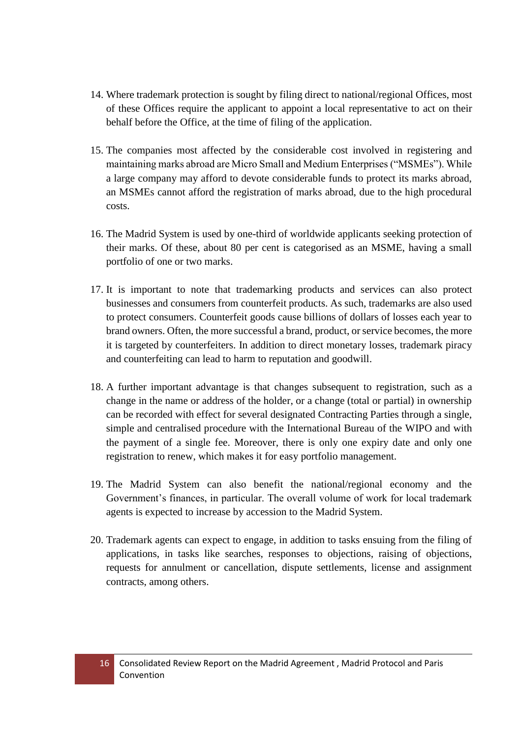- 14. Where trademark protection is sought by filing direct to national/regional Offices, most of these Offices require the applicant to appoint a local representative to act on their behalf before the Office, at the time of filing of the application.
- 15. The companies most affected by the considerable cost involved in registering and maintaining marks abroad are Micro Small and Medium Enterprises ("MSMEs"). While a large company may afford to devote considerable funds to protect its marks abroad, an MSMEs cannot afford the registration of marks abroad, due to the high procedural costs.
- 16. The Madrid System is used by one-third of worldwide applicants seeking protection of their marks. Of these, about 80 per cent is categorised as an MSME, having a small portfolio of one or two marks.
- 17. It is important to note that trademarking products and services can also protect businesses and consumers from counterfeit products. As such, trademarks are also used to protect consumers. Counterfeit goods cause billions of dollars of losses each year to brand owners. Often, the more successful a brand, product, or service becomes, the more it is targeted by counterfeiters. In addition to direct monetary losses, trademark piracy and counterfeiting can lead to harm to reputation and goodwill.
- 18. A further important advantage is that changes subsequent to registration, such as a change in the name or address of the holder, or a change (total or partial) in ownership can be recorded with effect for several designated Contracting Parties through a single, simple and centralised procedure with the International Bureau of the WIPO and with the payment of a single fee. Moreover, there is only one expiry date and only one registration to renew, which makes it for easy portfolio management.
- 19. The Madrid System can also benefit the national/regional economy and the Government's finances, in particular. The overall volume of work for local trademark agents is expected to increase by accession to the Madrid System.
- 20. Trademark agents can expect to engage, in addition to tasks ensuing from the filing of applications, in tasks like searches, responses to objections, raising of objections, requests for annulment or cancellation, dispute settlements, license and assignment contracts, among others.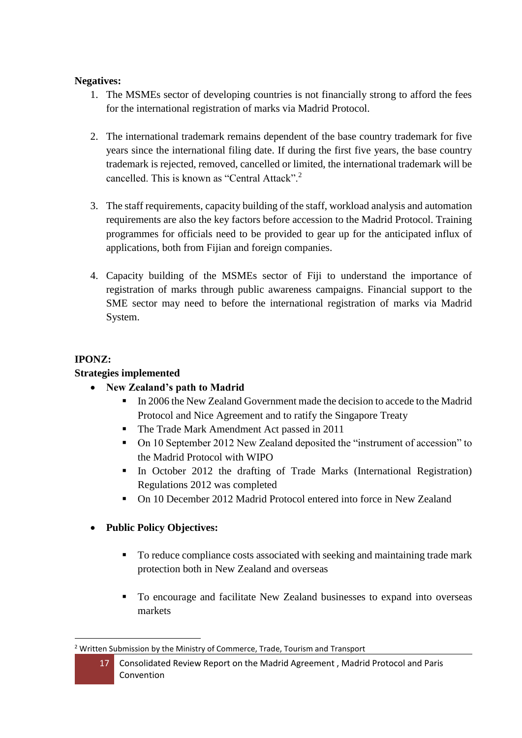#### **Negatives:**

- 1. The MSMEs sector of developing countries is not financially strong to afford the fees for the international registration of marks via Madrid Protocol.
- 2. The international trademark remains dependent of the base country trademark for five years since the international filing date. If during the first five years, the base country trademark is rejected, removed, cancelled or limited, the international trademark will be cancelled. This is known as "Central Attack"<sup>2</sup>
- 3. The staff requirements, capacity building of the staff, workload analysis and automation requirements are also the key factors before accession to the Madrid Protocol. Training programmes for officials need to be provided to gear up for the anticipated influx of applications, both from Fijian and foreign companies.
- 4. Capacity building of the MSMEs sector of Fiji to understand the importance of registration of marks through public awareness campaigns. Financial support to the SME sector may need to before the international registration of marks via Madrid System.

#### **IPONZ:**

### **Strategies implemented**

- **New Zealand's path to Madrid**
	- In 2006 the New Zealand Government made the decision to accede to the Madrid Protocol and Nice Agreement and to ratify the Singapore Treaty
	- The Trade Mark Amendment Act passed in 2011
	- On 10 September 2012 New Zealand deposited the "instrument of accession" to the Madrid Protocol with WIPO
	- In October 2012 the drafting of Trade Marks (International Registration) Regulations 2012 was completed
	- On 10 December 2012 Madrid Protocol entered into force in New Zealand

## **Public Policy Objectives:**

- To reduce compliance costs associated with seeking and maintaining trade mark protection both in New Zealand and overseas
- To encourage and facilitate New Zealand businesses to expand into overseas markets

17 Consolidated Review Report on the Madrid Agreement , Madrid Protocol and Paris Convention

**<sup>.</sup>** <sup>2</sup> Written Submission by the Ministry of Commerce, Trade, Tourism and Transport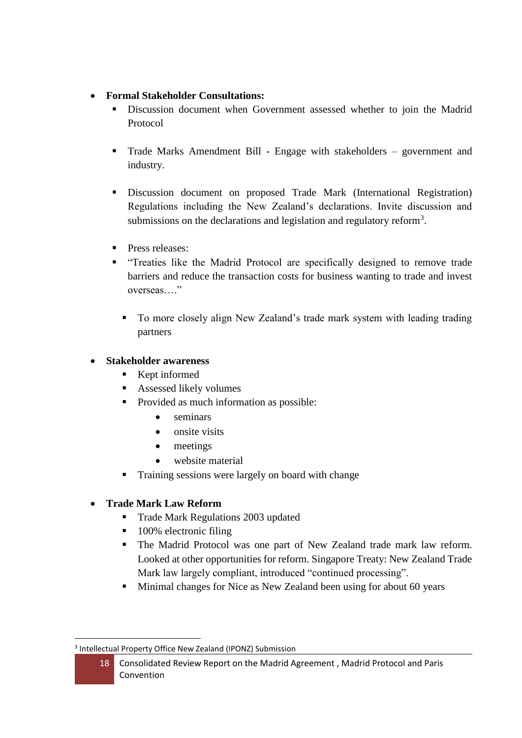### **Formal Stakeholder Consultations:**

- Discussion document when Government assessed whether to join the Madrid Protocol
- Trade Marks Amendment Bill Engage with stakeholders government and industry.
- Discussion document on proposed Trade Mark (International Registration) Regulations including the New Zealand's declarations. Invite discussion and submissions on the declarations and legislation and regulatory reform<sup>3</sup>.
- **Press releases:**
- "Treaties like the Madrid Protocol are specifically designed to remove trade barriers and reduce the transaction costs for business wanting to trade and invest overseas…."
	- To more closely align New Zealand's trade mark system with leading trading partners

## **Stakeholder awareness**

- **Kept informed**
- **Assessed likely volumes**
- **Provided as much information as possible:** 
	- seminars
	- onsite visits
	- meetings
	- website material
- Training sessions were largely on board with change

## **Trade Mark Law Reform**

- Trade Mark Regulations 2003 updated
- 100% electronic filing
- The Madrid Protocol was one part of New Zealand trade mark law reform. Looked at other opportunities for reform. Singapore Treaty: New Zealand Trade Mark law largely compliant, introduced "continued processing".
- **Minimal changes for Nice as New Zealand been using for about 60 years**

**<sup>.</sup>** 3 Intellectual Property Office New Zealand (IPONZ) Submission

<sup>18</sup> Consolidated Review Report on the Madrid Agreement , Madrid Protocol and Paris Convention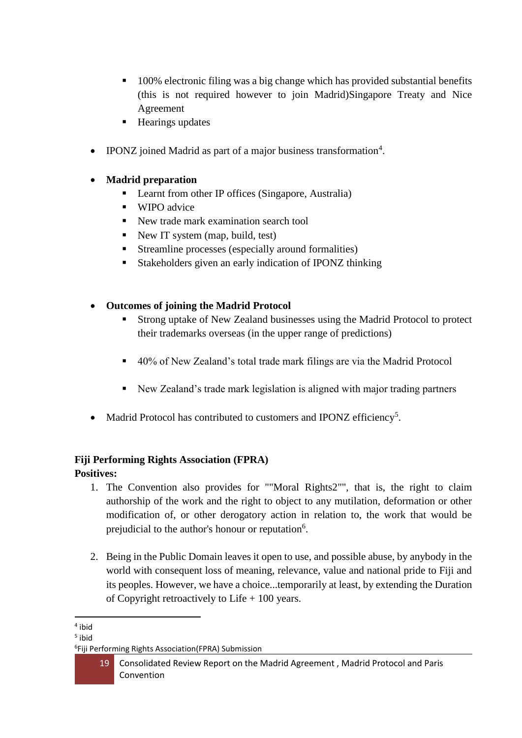- **100%** electronic filing was a big change which has provided substantial benefits (this is not required however to join Madrid)Singapore Treaty and Nice Agreement
- Hearings updates
- IPONZ joined Madrid as part of a major business transformation<sup>4</sup>.
- **Madrid preparation**
	- Learnt from other IP offices (Singapore, Australia)
	- **WIPO** advice
	- New trade mark examination search tool
	- New IT system (map, build, test)
	- Streamline processes (especially around formalities)
	- **Stakeholders given an early indication of IPONZ thinking**
- **Outcomes of joining the Madrid Protocol**
	- Strong uptake of New Zealand businesses using the Madrid Protocol to protect their trademarks overseas (in the upper range of predictions)
	- 40% of New Zealand's total trade mark filings are via the Madrid Protocol
	- New Zealand's trade mark legislation is aligned with major trading partners
- Madrid Protocol has contributed to customers and IPONZ efficiency<sup>5</sup>.

# **Fiji Performing Rights Association (FPRA)**

## **Positives:**

- 1. The Convention also provides for ""Moral Rights2"", that is, the right to claim authorship of the work and the right to object to any mutilation, deformation or other modification of, or other derogatory action in relation to, the work that would be prejudicial to the author's honour or reputation<sup>6</sup>.
- 2. Being in the Public Domain leaves it open to use, and possible abuse, by anybody in the world with consequent loss of meaning, relevance, value and national pride to Fiji and its peoples. However, we have a choice...temporarily at least, by extending the Duration of Copyright retroactively to Life + 100 years.

**<sup>.</sup>** 4 ibid

<sup>5</sup> ibid

<sup>6</sup> Fiji Performing Rights Association(FPRA) Submission

<sup>19</sup> Consolidated Review Report on the Madrid Agreement , Madrid Protocol and Paris Convention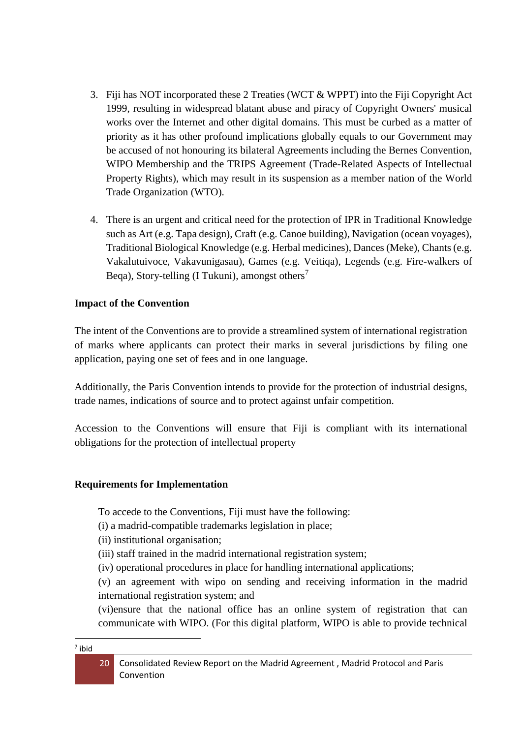- 3. Fiji has NOT incorporated these 2 Treaties (WCT & WPPT) into the Fiji Copyright Act 1999, resulting in widespread blatant abuse and piracy of Copyright Owners' musical works over the Internet and other digital domains. This must be curbed as a matter of priority as it has other profound implications globally equals to our Government may be accused of not honouring its bilateral Agreements including the Bernes Convention, WIPO Membership and the TRIPS Agreement (Trade-Related Aspects of Intellectual Property Rights), which may result in its suspension as a member nation of the World Trade Organization (WTO).
- 4. There is an urgent and critical need for the protection of IPR in Traditional Knowledge such as Art (e.g. Tapa design), Craft (e.g. Canoe building), Navigation (ocean voyages), Traditional Biological Knowledge (e.g. Herbal medicines), Dances (Meke), Chants (e.g. Vakalutuivoce, Vakavunigasau), Games (e.g. Veitiqa), Legends (e.g. Fire-walkers of Beqa), Story-telling (I Tukuni), amongst others<sup>7</sup>

#### **Impact of the Convention**

The intent of the Conventions are to provide a streamlined system of international registration of marks where applicants can protect their marks in several jurisdictions by filing one application, paying one set of fees and in one language.

Additionally, the Paris Convention intends to provide for the protection of industrial designs, trade names, indications of source and to protect against unfair competition.

Accession to the Conventions will ensure that Fiji is compliant with its international obligations for the protection of intellectual property

#### **Requirements for Implementation**

To accede to the Conventions, Fiji must have the following:

(i) a madrid-compatible trademarks legislation in place;

(ii) institutional organisation;

- (iii) staff trained in the madrid international registration system;
- (iv) operational procedures in place for handling international applications;

(v) an agreement with wipo on sending and receiving information in the madrid international registration system; and

(vi)ensure that the national office has an online system of registration that can communicate with WIPO. (For this digital platform, WIPO is able to provide technical

<sup>20</sup> Consolidated Review Report on the Madrid Agreement , Madrid Protocol and Paris Convention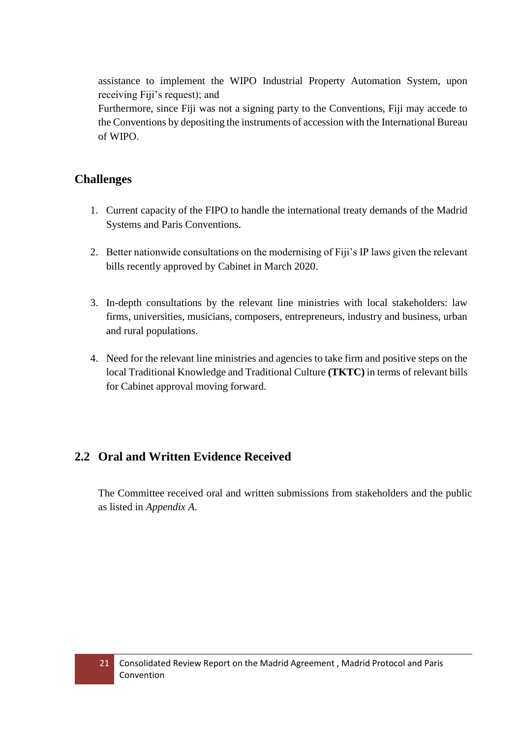assistance to implement the WIPO Industrial Property Automation System, upon receiving Fiji's request); and

Furthermore, since Fiji was not a signing party to the Conventions, Fiji may accede to the Conventions by depositing the instruments of accession with the International Bureau of WIPO.

## **Challenges**

- 1. Current capacity of the FIPO to handle the international treaty demands of the Madrid Systems and Paris Conventions.
- 2. Better nationwide consultations on the modernising of Fiji's IP laws given the relevant bills recently approved by Cabinet in March 2020.
- 3. In-depth consultations by the relevant line ministries with local stakeholders: law firms, universities, musicians, composers, entrepreneurs, industry and business, urban and rural populations.
- 4. Need for the relevant line ministries and agencies to take firm and positive steps on the local Traditional Knowledge and Traditional Culture **(TKTC)** in terms of relevant bills for Cabinet approval moving forward.

## <span id="page-20-0"></span>**2.2 Oral and Written Evidence Received**

The Committee received oral and written submissions from stakeholders and the public as listed in *Appendix A*.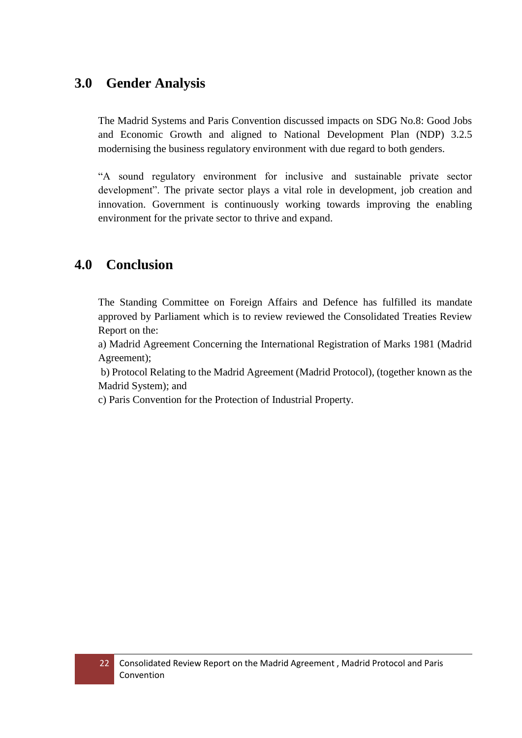# <span id="page-21-0"></span>**3.0 Gender Analysis**

The Madrid Systems and Paris Convention discussed impacts on SDG No.8: Good Jobs and Economic Growth and aligned to National Development Plan (NDP) 3.2.5 modernising the business regulatory environment with due regard to both genders.

"A sound regulatory environment for inclusive and sustainable private sector development". The private sector plays a vital role in development, job creation and innovation. Government is continuously working towards improving the enabling environment for the private sector to thrive and expand.

# <span id="page-21-1"></span>**4.0 Conclusion**

The Standing Committee on Foreign Affairs and Defence has fulfilled its mandate approved by Parliament which is to review reviewed the Consolidated Treaties Review Report on the:

a) Madrid Agreement Concerning the International Registration of Marks 1981 (Madrid Agreement);

b) Protocol Relating to the Madrid Agreement (Madrid Protocol), (together known as the Madrid System); and

c) Paris Convention for the Protection of Industrial Property.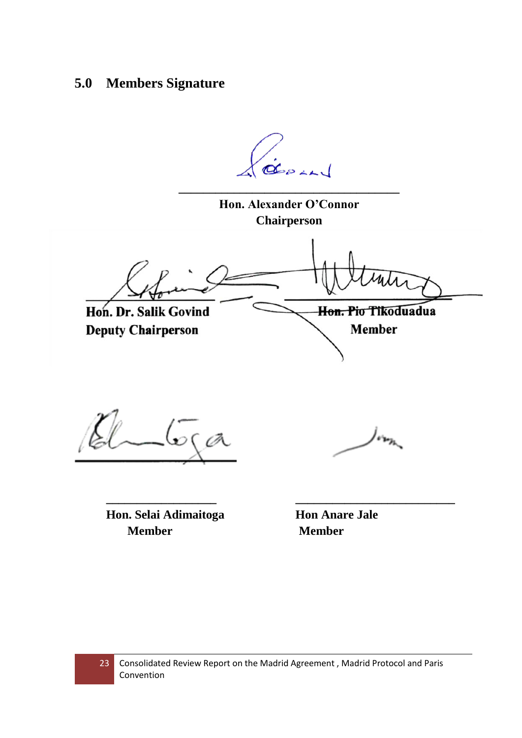# <span id="page-22-0"></span>**5.0 Members Signature**

GEPLA **\_\_\_\_\_\_\_\_\_\_\_\_\_\_\_\_\_\_\_\_\_\_\_\_\_\_\_\_\_\_\_\_\_\_\_\_ Hon. Alexander O'Connor Chairperson** Hon. Pio Tikoduadua Hon. Dr. Salik Govind **Deputy Chairperson Member**  $66a$  $/$ oraz

**Hon. Selai Adimaitoga Hon Anare Jale Member Member** 

**\_\_\_\_\_\_\_\_\_\_\_\_\_\_\_\_\_\_ \_\_\_\_\_\_\_\_\_\_\_\_\_\_\_\_\_\_\_\_\_\_\_\_\_\_**